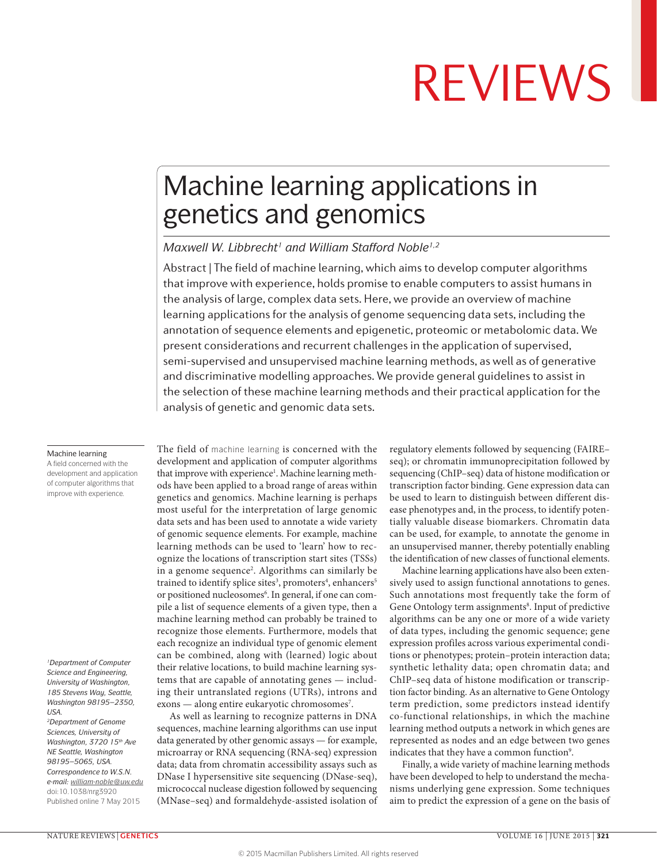## Machine learning applications in genetics and genomics

*Maxwell W. Libbrecht<sup>1</sup> and William Stafford Noble<sup>1,2</sup>* 

Abstract | The field of machine learning, which aims to develop computer algorithms that improve with experience, holds promise to enable computers to assist humans in the analysis of large, complex data sets. Here, we provide an overview of machine learning applications for the analysis of genome sequencing data sets, including the annotation of sequence elements and epigenetic, proteomic or metabolomic data. We present considerations and recurrent challenges in the application of supervised, semi-supervised and unsupervised machine learning methods, as well as of generative and discriminative modelling approaches. We provide general guidelines to assist in the selection of these machine learning methods and their practical application for the analysis of genetic and genomic data sets.

#### Machine learning

A field concerned with the development and application of computer algorithms that improve with experience.

*1Department of Computer Science and Engineering, University of Washington, 185 Stevens Way, Seattle, Washington 98195–2350, USA.*

*2Department of Genome Sciences, University of Washington, 3720 15th Ave NE Seattle, Washington 98195–5065, USA. Correspondence to W.S.N. e‑mail: [william-noble@uw.edu](mailto:william-noble@uw.edu)* doi:10.1038/nrg3920 Published online 7 May 2015

The field of machine learning is concerned with the development and application of computer algorithms that improve with experience<sup>1</sup>. Machine learning methods have been applied to a broad range of areas within genetics and genomics. Machine learning is perhaps most useful for the interpretation of large genomic data sets and has been used to annotate a wide variety of genomic sequence elements. For example, machine learning methods can be used to 'learn' how to recognize the locations of transcription start sites (TSSs) in a genome sequence2 . Algorithms can similarly be trained to identify splice sites<sup>3</sup>, promoters<sup>4</sup>, enhancers<sup>5</sup> or positioned nucleosomes<sup>6</sup>. In general, if one can compile a list of sequence elements of a given type, then a machine learning method can probably be trained to recognize those elements. Furthermore, models that each recognize an individual type of genomic element can be combined, along with (learned) logic about their relative locations, to build machine learning systems that are capable of annotating genes — including their untranslated regions (UTRs), introns and exons — along entire eukaryotic chromosomes<sup>7</sup>.

As well as learning to recognize patterns in DNA sequences, machine learning algorithms can use input data generated by other genomic assays — for example, microarray or RNA sequencing (RNA-seq) expression data; data from chromatin accessibility assays such as DNase I hypersensitive site sequencing (DNase-seq), micrococcal nuclease digestion followed by sequencing (MNase–seq) and formaldehyde-assisted isolation of regulatory elements followed by sequencing (FAIRE– seq); or chromatin immunoprecipitation followed by sequencing (ChIP–seq) data of histone modification or transcription factor binding. Gene expression data can be used to learn to distinguish between different disease phenotypes and, in the process, to identify potentially valuable disease biomarkers. Chromatin data can be used, for example, to annotate the genome in an unsupervised manner, thereby potentially enabling the identification of new classes of functional elements.

Machine learning applications have also been extensively used to assign functional annotations to genes. Such annotations most frequently take the form of Gene Ontology term assignments<sup>8</sup>. Input of predictive algorithms can be any one or more of a wide variety of data types, including the genomic sequence; gene expression profiles across various experimental conditions or phenotypes; protein–protein interaction data; synthetic lethality data; open chromatin data; and ChIP–seq data of histone modification or transcription factor binding. As an alternative to Gene Ontology term prediction, some predictors instead identify co-functional relationships, in which the machine learning method outputs a network in which genes are represented as nodes and an edge between two genes indicates that they have a common function<sup>9</sup>.

Finally, a wide variety of machine learning methods have been developed to help to understand the mechanisms underlying gene expression. Some techniques aim to predict the expression of a gene on the basis of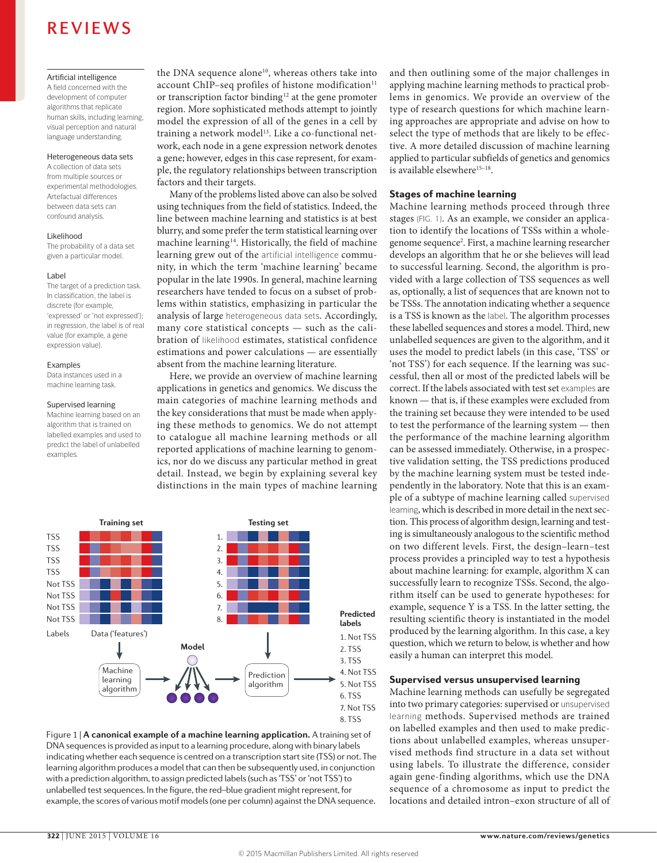#### Artificial intelligence

A field concerned with the development of computer algorithms that replicate human skills, including learning, visual perception and natural language understanding.

#### Heterogeneous data sets

A collection of data sets from multiple sources or experimental methodologies. Artefactual differences between data sets can confound analysis.

#### Likelihood

The probability of a data set given a particular model.

#### Label

The target of a prediction task. In classification, the label is discrete (for example, 'expressed' or 'not expressed'); in regression, the label is of real value (for example, a gene expression value).

#### Examples

Data instances used in a machine learning task.

#### Supervised learning

Machine learning based on an algorithm that is trained on labelled examples and used to predict the label of unlabelled examples.

the DNA sequence alone<sup>10</sup>, whereas others take into account ChIP-seq profiles of histone modification<sup>11</sup> or transcription factor binding<sup>12</sup> at the gene promoter region. More sophisticated methods attempt to jointly model the expression of all of the genes in a cell by training a network model<sup>13</sup>. Like a co-functional network, each node in a gene expression network denotes a gene; however, edges in this case represent, for example, the regulatory relationships between transcription factors and their targets.

Many of the problems listed above can also be solved using techniques from the field of statistics. Indeed, the line between machine learning and statistics is at best blurry, and some prefer the term statistical learning over machine learning<sup>14</sup>. Historically, the field of machine learning grew out of the artificial intelligence community, in which the term 'machine learning' became popular in the late 1990s. In general, machine learning researchers have tended to focus on a subset of problems within statistics, emphasizing in particular the analysis of large heterogeneous data sets. Accordingly, many core statistical concepts — such as the calibration of likelihood estimates, statistical confidence estimations and power calculations — are essentially absent from the machine learning literature.

Here, we provide an overview of machine learning applications in genetics and genomics. We discuss the main categories of machine learning methods and the key considerations that must be made when applying these methods to genomics. We do not attempt to catalogue all machine learning methods or all reported applications of machine learning to genomics, nor do we discuss any particular method in great detail. Instead, we begin by explaining several key distinctions in the main types of machine learning





and then outlining some of the major challenges in applying machine learning methods to practical problems in genomics. We provide an overview of the type of research questions for which machine learning approaches are appropriate and advise on how to select the type of methods that are likely to be effective. A more detailed discussion of machine learning applied to particular subfields of genetics and genomics is available elsewhere<sup>15-18</sup>.

#### Stages of machine learning

Machine learning methods proceed through three stages (FIG. 1). As an example, we consider an application to identify the locations of TSSs within a wholegenome sequence2 . First, a machine learning researcher develops an algorithm that he or she believes will lead to successful learning. Second, the algorithm is provided with a large collection of TSS sequences as well as, optionally, a list of sequences that are known not to be TSSs. The annotation indicating whether a sequence is a TSS is known as the label. The algorithm processes these labelled sequences and stores a model. Third, new unlabelled sequences are given to the algorithm, and it uses the model to predict labels (in this case, 'TSS' or 'not TSS') for each sequence. If the learning was successful, then all or most of the predicted labels will be correct. If the labels associated with test set examples are known — that is, if these examples were excluded from the training set because they were intended to be used to test the performance of the learning system — then the performance of the machine learning algorithm can be assessed immediately. Otherwise, in a prospective validation setting, the TSS predictions produced by the machine learning system must be tested independently in the laboratory. Note that this is an example of a subtype of machine learning called supervised learning, which is described in more detail in the next section. This process of algorithm design, learning and testing is simultaneously analogous to the scientific method on two different levels. First, the design–learn–test process provides a principled way to test a hypothesis about machine learning: for example, algorithm X can successfully learn to recognize TSSs. Second, the algorithm itself can be used to generate hypotheses: for example, sequence Y is a TSS. In the latter setting, the resulting scientific theory is instantiated in the model produced by the learning algorithm. In this case, a key question, which we return to below, is whether and how easily a human can interpret this model.

#### Supervised versus unsupervised learning

Machine learning methods can usefully be segregated into two primary categories: supervised or unsupervised learning methods. Supervised methods are trained on labelled examples and then used to make predictions about unlabelled examples, whereas unsupervised methods find structure in a data set without using labels. To illustrate the difference, consider again gene-finding algorithms, which use the DNA sequence of a chromosome as input to predict the locations and detailed intron–exon structure of all of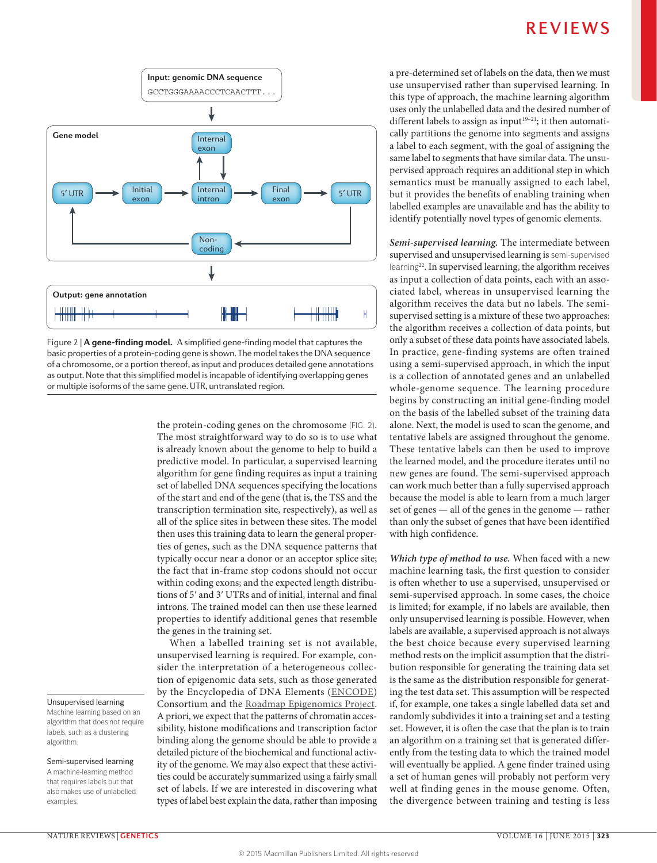





the protein-coding genes on the chromosome (FIG. 2). The most straightforward way to do so is to use what is already known about the genome to help to build a predictive model. In particular, a supervised learning algorithm for gene finding requires as input a training set of labelled DNA sequences specifying the locations of the start and end of the gene (that is, the TSS and the transcription termination site, respectively), as well as all of the splice sites in between these sites. The model then uses this training data to learn the general properties of genes, such as the DNA sequence patterns that typically occur near a donor or an acceptor splice site; the fact that in-frame stop codons should not occur within coding exons; and the expected length distributions of 5ʹ and 3ʹ UTRs and of initial, internal and final introns. The trained model can then use these learned properties to identify additional genes that resemble the genes in the training set.

When a labelled training set is not available, unsupervised learning is required. For example, consider the interpretation of a heterogeneous collection of epigenomic data sets, such as those generated by the Encyclopedia of DNA Elements [\(ENCODE\)](http://www.encodeproject.org) Consortium and the [Roadmap Epigenomics Project.](http://www.roadmapepigenomics.org) A priori, we expect that the patterns of chromatin accessibility, histone modifications and transcription factor binding along the genome should be able to provide a detailed picture of the biochemical and functional activity of the genome. We may also expect that these activities could be accurately summarized using a fairly small set of labels. If we are interested in discovering what types of label best explain the data, rather than imposing a pre-determined set of labels on the data, then we must use unsupervised rather than supervised learning. In this type of approach, the machine learning algorithm uses only the unlabelled data and the desired number of different labels to assign as input<sup>19-21</sup>; it then automatically partitions the genome into segments and assigns a label to each segment, with the goal of assigning the same label to segments that have similar data. The unsupervised approach requires an additional step in which semantics must be manually assigned to each label, but it provides the benefits of enabling training when labelled examples are unavailable and has the ability to identify potentially novel types of genomic elements.

*Semi-supervised learning.* The intermediate between supervised and unsupervised learning is semi-supervised learning<sup>22</sup>. In supervised learning, the algorithm receives as input a collection of data points, each with an associated label, whereas in unsupervised learning the algorithm receives the data but no labels. The semisupervised setting is a mixture of these two approaches: the algorithm receives a collection of data points, but only a subset of these data points have associated labels. In practice, gene-finding systems are often trained using a semi-supervised approach, in which the input is a collection of annotated genes and an unlabelled whole-genome sequence. The learning procedure begins by constructing an initial gene-finding model on the basis of the labelled subset of the training data alone. Next, the model is used to scan the genome, and tentative labels are assigned throughout the genome. These tentative labels can then be used to improve the learned model, and the procedure iterates until no new genes are found. The semi-supervised approach can work much better than a fully supervised approach because the model is able to learn from a much larger set of genes — all of the genes in the genome — rather than only the subset of genes that have been identified with high confidence.

*Which type of method to use.* When faced with a new machine learning task, the first question to consider is often whether to use a supervised, unsupervised or semi-supervised approach. In some cases, the choice is limited; for example, if no labels are available, then only unsupervised learning is possible. However, when labels are available, a supervised approach is not always the best choice because every supervised learning method rests on the implicit assumption that the distribution responsible for generating the training data set is the same as the distribution responsible for generating the test data set. This assumption will be respected if, for example, one takes a single labelled data set and randomly subdivides it into a training set and a testing set. However, it is often the case that the plan is to train an algorithm on a training set that is generated differently from the testing data to which the trained model will eventually be applied. A gene finder trained using a set of human genes will probably not perform very well at finding genes in the mouse genome. Often, the divergence between training and testing is less

### Unsupervised learning

Machine learning based on an algorithm that does not require labels, such as a clustering algorithm.

#### Semi-supervised learning

A machine-learning method that requires labels but that also makes use of unlabelled examples.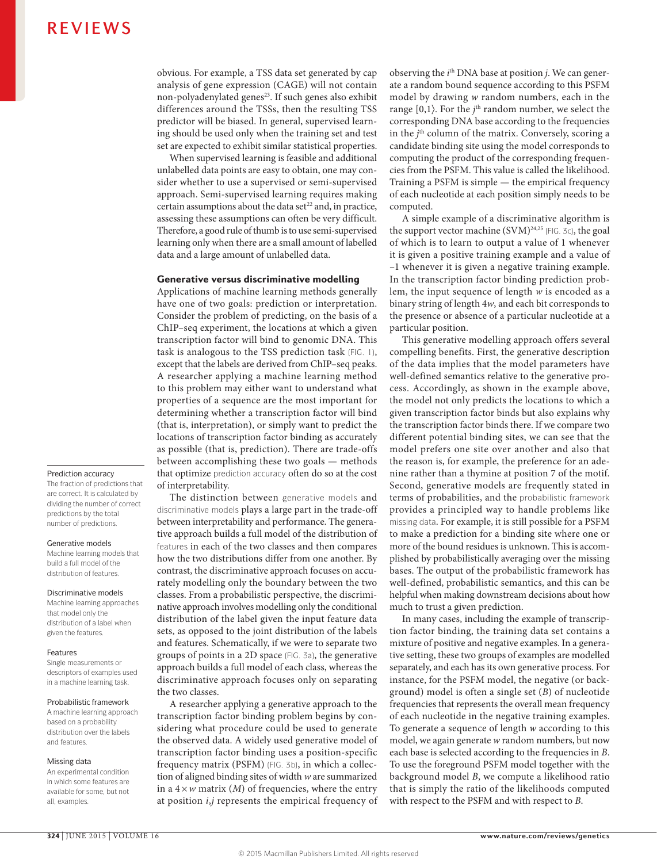obvious. For example, a TSS data set generated by cap analysis of gene expression (CAGE) will not contain non-polyadenylated genes<sup>23</sup>. If such genes also exhibit differences around the TSSs, then the resulting TSS predictor will be biased. In general, supervised learning should be used only when the training set and test set are expected to exhibit similar statistical properties.

When supervised learning is feasible and additional unlabelled data points are easy to obtain, one may consider whether to use a supervised or semi-supervised approach. Semi-supervised learning requires making certain assumptions about the data set<sup>22</sup> and, in practice, assessing these assumptions can often be very difficult. Therefore, a good rule of thumb is to use semi-supervised learning only when there are a small amount of labelled data and a large amount of unlabelled data.

#### Generative versus discriminative modelling

Applications of machine learning methods generally have one of two goals: prediction or interpretation. Consider the problem of predicting, on the basis of a ChIP–seq experiment, the locations at which a given transcription factor will bind to genomic DNA. This task is analogous to the TSS prediction task (FIG. 1), except that the labels are derived from ChIP–seq peaks. A researcher applying a machine learning method to this problem may either want to understand what properties of a sequence are the most important for determining whether a transcription factor will bind (that is, interpretation), or simply want to predict the locations of transcription factor binding as accurately as possible (that is, prediction). There are trade-offs between accomplishing these two goals — methods that optimize prediction accuracy often do so at the cost of interpretability.

The distinction between generative models and discriminative models plays a large part in the trade-off between interpretability and performance. The generative approach builds a full model of the distribution of features in each of the two classes and then compares how the two distributions differ from one another. By contrast, the discriminative approach focuses on accurately modelling only the boundary between the two classes. From a probabilistic perspective, the discriminative approach involves modelling only the conditional distribution of the label given the input feature data sets, as opposed to the joint distribution of the labels and features. Schematically, if we were to separate two groups of points in a 2D space (FIG. 3a), the generative approach builds a full model of each class, whereas the discriminative approach focuses only on separating the two classes.

A researcher applying a generative approach to the transcription factor binding problem begins by considering what procedure could be used to generate the observed data. A widely used generative model of transcription factor binding uses a position-specific frequency matrix (PSFM) (FIG. 3b), in which a collection of aligned binding sites of width *w* are summarized in a  $4 \times w$  matrix  $(M)$  of frequencies, where the entry at position *i*,*j* represents the empirical frequency of

observing the *i*<sup>th</sup> DNA base at position *j*. We can generate a random bound sequence according to this PSFM model by drawing *w* random numbers, each in the range  $[0,1)$ . For the  $j<sup>th</sup>$  random number, we select the corresponding DNA base according to the frequencies in the *j*<sup>th</sup> column of the matrix. Conversely, scoring a candidate binding site using the model corresponds to computing the product of the corresponding frequencies from the PSFM. This value is called the likelihood. Training a PSFM is simple — the empirical frequency of each nucleotide at each position simply needs to be computed.

A simple example of a discriminative algorithm is the support vector machine (SVM)<sup>24,25</sup> (FIG. 3c), the goal of which is to learn to output a value of 1 whenever it is given a positive training example and a value of –1 whenever it is given a negative training example. In the transcription factor binding prediction problem, the input sequence of length *w* is encoded as a binary string of length 4*w*, and each bit corresponds to the presence or absence of a particular nucleotide at a particular position.

This generative modelling approach offers several compelling benefits. First, the generative description of the data implies that the model parameters have well-defined semantics relative to the generative process. Accordingly, as shown in the example above, the model not only predicts the locations to which a given transcription factor binds but also explains why the transcription factor binds there. If we compare two different potential binding sites, we can see that the model prefers one site over another and also that the reason is, for example, the preference for an adenine rather than a thymine at position 7 of the motif. Second, generative models are frequently stated in terms of probabilities, and the probabilistic framework provides a principled way to handle problems like missing data. For example, it is still possible for a PSFM to make a prediction for a binding site where one or more of the bound residues is unknown. This is accomplished by probabilistically averaging over the missing bases. The output of the probabilistic framework has well-defined, probabilistic semantics, and this can be helpful when making downstream decisions about how much to trust a given prediction.

In many cases, including the example of transcription factor binding, the training data set contains a mixture of positive and negative examples. In a generative setting, these two groups of examples are modelled separately, and each has its own generative process. For instance, for the PSFM model, the negative (or background) model is often a single set (*B*) of nucleotide frequencies that represents the overall mean frequency of each nucleotide in the negative training examples. To generate a sequence of length *w* according to this model, we again generate *w* random numbers, but now each base is selected according to the frequencies in *B*. To use the foreground PSFM model together with the background model *B*, we compute a likelihood ratio that is simply the ratio of the likelihoods computed with respect to the PSFM and with respect to *B*.

#### Prediction accuracy

The fraction of predictions that are correct. It is calculated by dividing the number of correct predictions by the total number of predictions.

#### Generative models

Machine learning models that build a full model of the distribution of features.

#### Discriminative models

Machine learning approaches that model only the distribution of a label when given the features.

#### Features

Single measurements or descriptors of examples used in a machine learning task.

#### Probabilistic framework

A machine learning approach based on a probability distribution over the labels and features.

#### Missing data

An experimental condition in which some features are available for some, but not all, examples.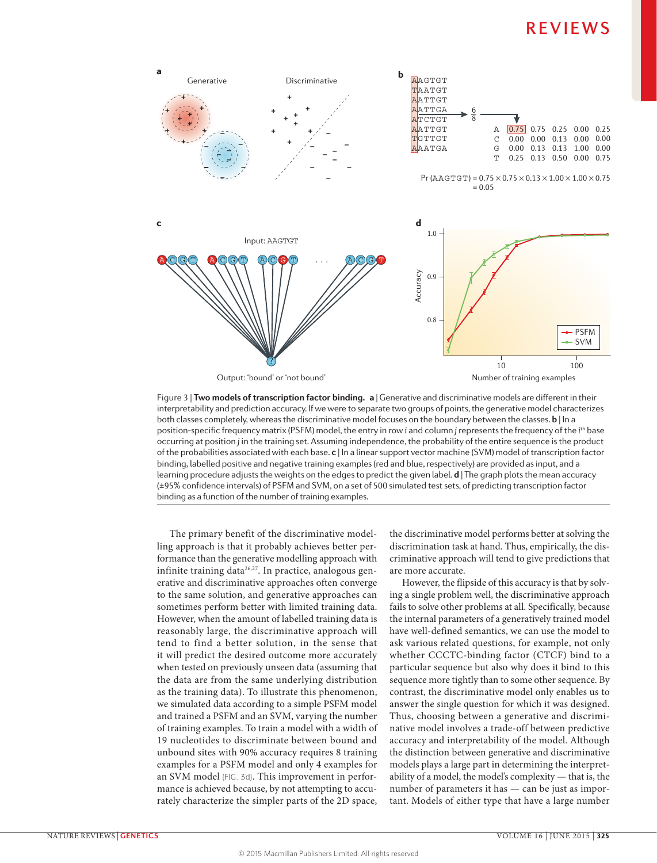

interpretability and prediction accuracy. If we were to separate two groups of points, the generative model characterizes Figure 3 | **Two models of transcription factor binding. a** | Generative and discriminative models are different in their both classes completely, whereas the discriminative model focuses on the boundary between the classes. **b** | In a position-specific frequency matrix (PSFM) model, the entry in row *i* and column *j* represents the frequency of the *i* th base occurring at position *j* in the training set. Assuming independence, the probability of the entire sequence is the product of the probabilities associated with each base. **c** | In a linear support vector machine (SVM) model of transcription factor binding, labelled positive and negative training examples (red and blue, respectively) are provided as input, and a learning procedure adjusts the weights on the edges to predict the given label. **d** | The graph plots the mean accuracy (±95% confidence intervals) of PSFM and SVM, on a set of 500 simulated test sets, of predicting transcription factor binding as a function of the number of training examples.

The primary benefit of the discriminative modelling approach is that it probably achieves better performance than the generative modelling approach with infinite training data<sup>26,27</sup>. In practice, analogous generative and discriminative approaches often converge to the same solution, and generative approaches can sometimes perform better with limited training data. However, when the amount of labelled training data is reasonably large, the discriminative approach will tend to find a better solution, in the sense that it will predict the desired outcome more accurately when tested on previously unseen data (assuming that the data are from the same underlying distribution as the training data). To illustrate this phenomenon, we simulated data according to a simple PSFM model and trained a PSFM and an SVM, varying the number of training examples. To train a model with a width of 19 nucleotides to discriminate between bound and unbound sites with 90% accuracy requires 8 training examples for a PSFM model and only 4 examples for an SVM model (FIG. 3d). This improvement in performance is achieved because, by not attempting to accurately characterize the simpler parts of the 2D space, the discriminative model performs better at solving the discrimination task at hand. Thus, empirically, the discriminative approach will tend to give predictions that are more accurate.

However, the flipside of this accuracy is that by solving a single problem well, the discriminative approach fails to solve other problems at all. Specifically, because the internal parameters of a generatively trained model have well-defined semantics, we can use the model to ask various related questions, for example, not only whether CCCTC-binding factor (CTCF) bind to a particular sequence but also why does it bind to this sequence more tightly than to some other sequence. By contrast, the discriminative model only enables us to answer the single question for which it was designed. Thus, choosing between a generative and discriminative model involves a trade-off between predictive accuracy and interpretability of the model. Although the distinction between generative and discriminative models plays a large part in determining the interpretability of a model, the model's complexity — that is, the number of parameters it has — can be just as important. Models of either type that have a large number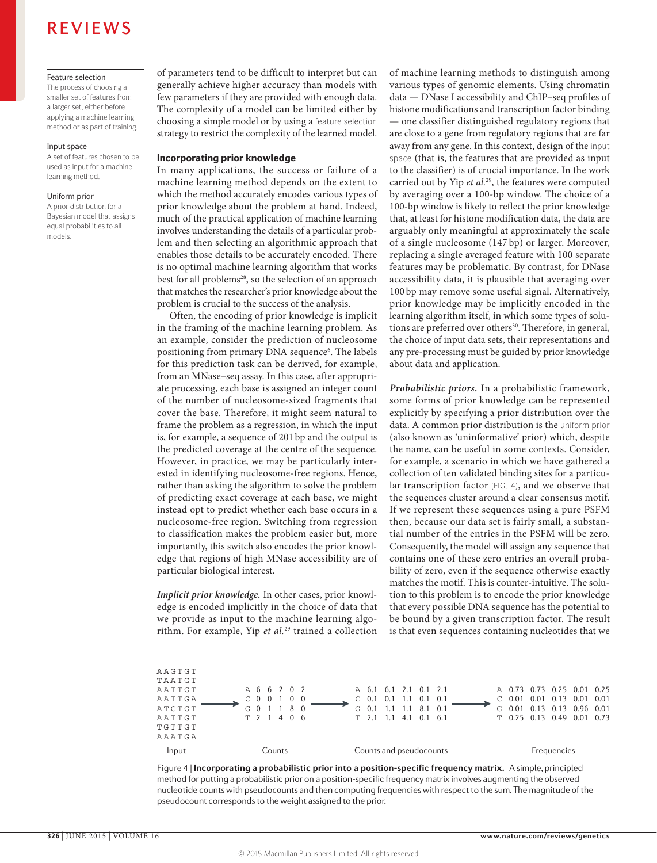#### Feature selection

The process of choosing a smaller set of features from a larger set, either before applying a machine learning method or as part of training.

#### Input space

A set of features chosen to be used as input for a machine learning method.

#### Uniform prior

A prior distribution for a Bayesian model that assigns equal probabilities to all models.

of parameters tend to be difficult to interpret but can generally achieve higher accuracy than models with few parameters if they are provided with enough data. The complexity of a model can be limited either by choosing a simple model or by using a feature selection strategy to restrict the complexity of the learned model.

#### Incorporating prior knowledge

In many applications, the success or failure of a machine learning method depends on the extent to which the method accurately encodes various types of prior knowledge about the problem at hand. Indeed, much of the practical application of machine learning involves understanding the details of a particular problem and then selecting an algorithmic approach that enables those details to be accurately encoded. There is no optimal machine learning algorithm that works best for all problems<sup>28</sup>, so the selection of an approach that matches the researcher's prior knowledge about the problem is crucial to the success of the analysis.

Often, the encoding of prior knowledge is implicit in the framing of the machine learning problem. As an example, consider the prediction of nucleosome positioning from primary DNA sequence<sup>6</sup>. The labels for this prediction task can be derived, for example, from an MNase–seq assay. In this case, after appropriate processing, each base is assigned an integer count of the number of nucleosome-sized fragments that cover the base. Therefore, it might seem natural to frame the problem as a regression, in which the input is, for example, a sequence of 201 bp and the output is the predicted coverage at the centre of the sequence. However, in practice, we may be particularly interested in identifying nucleosome-free regions. Hence, rather than asking the algorithm to solve the problem of predicting exact coverage at each base, we might instead opt to predict whether each base occurs in a nucleosome-free region. Switching from regression to classification makes the problem easier but, more importantly, this switch also encodes the prior knowledge that regions of high MNase accessibility are of particular biological interest.

*Implicit prior knowledge.* In other cases, prior knowledge is encoded implicitly in the choice of data that we provide as input to the machine learning algorithm. For example, Yip *et al.*29 trained a collection

of machine learning methods to distinguish among various types of genomic elements. Using chromatin data — DNase I accessibility and ChIP–seq profiles of histone modifications and transcription factor binding — one classifier distinguished regulatory regions that are close to a gene from regulatory regions that are far away from any gene. In this context, design of the input space (that is, the features that are provided as input to the classifier) is of crucial importance. In the work carried out by Yip *et al.*29, the features were computed by averaging over a 100-bp window. The choice of a 100-bp window is likely to reflect the prior knowledge that, at least for histone modification data, the data are arguably only meaningful at approximately the scale of a single nucleosome (147 bp) or larger. Moreover, replacing a single averaged feature with 100 separate features may be problematic. By contrast, for DNase accessibility data, it is plausible that averaging over 100 bp may remove some useful signal. Alternatively, prior knowledge may be implicitly encoded in the learning algorithm itself, in which some types of solutions are preferred over others<sup>30</sup>. Therefore, in general, the choice of input data sets, their representations and any pre-processing must be guided by prior knowledge about data and application.

*Probabilistic priors.* In a probabilistic framework, some forms of prior knowledge can be represented explicitly by specifying a prior distribution over the data. A common prior distribution is the uniform prior (also known as 'uninformative' prior) which, despite the name, can be useful in some contexts. Consider, for example, a scenario in which we have gathered a collection of ten validated binding sites for a particular transcription factor (FIG. 4), and we observe that the sequences cluster around a clear consensus motif. If we represent these sequences using a pure PSFM then, because our data set is fairly small, a substantial number of the entries in the PSFM will be zero. Consequently, the model will assign any sequence that contains one of these zero entries an overall probability of zero, even if the sequence otherwise exactly matches the motif. This is counter-intuitive. The solution to this problem is to encode the prior knowledge that every possible DNA sequence has the potential to be bound by a given transcription factor. The result is that even sequences containing nucleotides that we



method for putting a probabilistic prior on a position-specific frequency matrix involves augmenting the observed Figure 4 | **Incorporating a probabilistic prior into a position-specific frequency matrix.** A simple, principled nucleotide counts with pseudocounts and then computing frequencies with respect to the sum. The magnitude of the pseudocount corresponds to the weight assigned to the prior.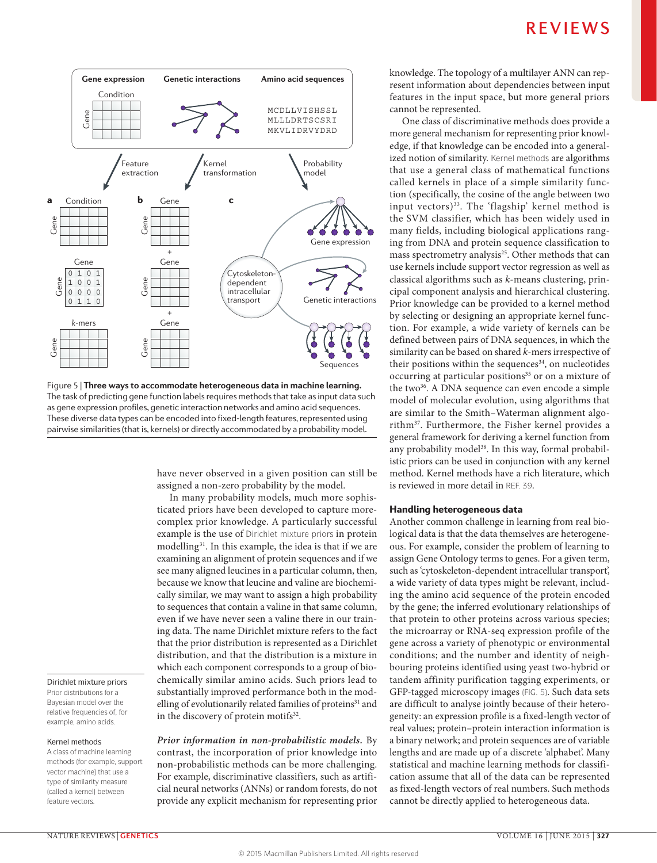

**Nature Reviews** | **Genetics** The task of predicting gene function labels requires methods that take as input data such Figure 5 | **Three ways to accommodate heterogeneous data in machine learning.** as gene expression profiles, genetic interaction networks and amino acid sequences. These diverse data types can be encoded into fixed-length features, represented using pairwise similarities (that is, kernels) or directly accommodated by a probability model.

have never observed in a given position can still be assigned a non-zero probability by the model.

In many probability models, much more sophisticated priors have been developed to capture morecomplex prior knowledge. A particularly successful example is the use of Dirichlet mixture priors in protein modelling31. In this example, the idea is that if we are examining an alignment of protein sequences and if we see many aligned leucines in a particular column, then, because we know that leucine and valine are biochemically similar, we may want to assign a high probability to sequences that contain a valine in that same column, even if we have never seen a valine there in our training data. The name Dirichlet mixture refers to the fact that the prior distribution is represented as a Dirichlet distribution, and that the distribution is a mixture in which each component corresponds to a group of biochemically similar amino acids. Such priors lead to substantially improved performance both in the modelling of evolutionarily related families of proteins<sup>31</sup> and in the discovery of protein motifs<sup>32</sup>.

#### Dirichlet mixture priors

Prior distributions for a Bayesian model over the relative frequencies of, for example, amino acids.

#### Kernel methods

A class of machine learning methods (for example, support vector machine) that use a type of similarity measure (called a kernel) between feature vectors.

*Prior information in non-probabilistic models.* By contrast, the incorporation of prior knowledge into non-probabilistic methods can be more challenging. For example, discriminative classifiers, such as artificial neural networks (ANNs) or random forests, do not provide any explicit mechanism for representing prior

knowledge. The topology of a multilayer ANN can represent information about dependencies between input features in the input space, but more general priors cannot be represented.

One class of discriminative methods does provide a more general mechanism for representing prior knowledge, if that knowledge can be encoded into a generalized notion of similarity. Kernel methods are algorithms that use a general class of mathematical functions called kernels in place of a simple similarity function (specifically, the cosine of the angle between two input vectors)<sup>33</sup>. The 'flagship' kernel method is the SVM classifier, which has been widely used in many fields, including biological applications ranging from DNA and protein sequence classification to mass spectrometry analysis<sup>25</sup>. Other methods that can use kernels include support vector regression as well as classical algorithms such as *k*-means clustering, principal component analysis and hierarchical clustering. Prior knowledge can be provided to a kernel method by selecting or designing an appropriate kernel function. For example, a wide variety of kernels can be defined between pairs of DNA sequences, in which the similarity can be based on shared *k*-mers irrespective of their positions within the sequences $34$ , on nucleotides occurring at particular positions<sup>35</sup> or on a mixture of the two<sup>36</sup>. A DNA sequence can even encode a simple model of molecular evolution, using algorithms that are similar to the Smith–Waterman alignment algorithm37. Furthermore, the Fisher kernel provides a general framework for deriving a kernel function from any probability model<sup>38</sup>. In this way, formal probabilistic priors can be used in conjunction with any kernel method. Kernel methods have a rich literature, which is reviewed in more detail in REF. 39.

#### Handling heterogeneous data

Another common challenge in learning from real biological data is that the data themselves are heterogeneous. For example, consider the problem of learning to assign Gene Ontology terms to genes. For a given term, such as 'cytoskeleton-dependent intracellular transport', a wide variety of data types might be relevant, including the amino acid sequence of the protein encoded by the gene; the inferred evolutionary relationships of that protein to other proteins across various species; the microarray or RNA-seq expression profile of the gene across a variety of phenotypic or environmental conditions; and the number and identity of neighbouring proteins identified using yeast two-hybrid or tandem affinity purification tagging experiments, or GFP-tagged microscopy images (FIG. 5). Such data sets are difficult to analyse jointly because of their heterogeneity: an expression profile is a fixed-length vector of real values; protein–protein interaction information is a binary network; and protein sequences are of variable lengths and are made up of a discrete 'alphabet'. Many statistical and machine learning methods for classification assume that all of the data can be represented as fixed-length vectors of real numbers. Such methods cannot be directly applied to heterogeneous data.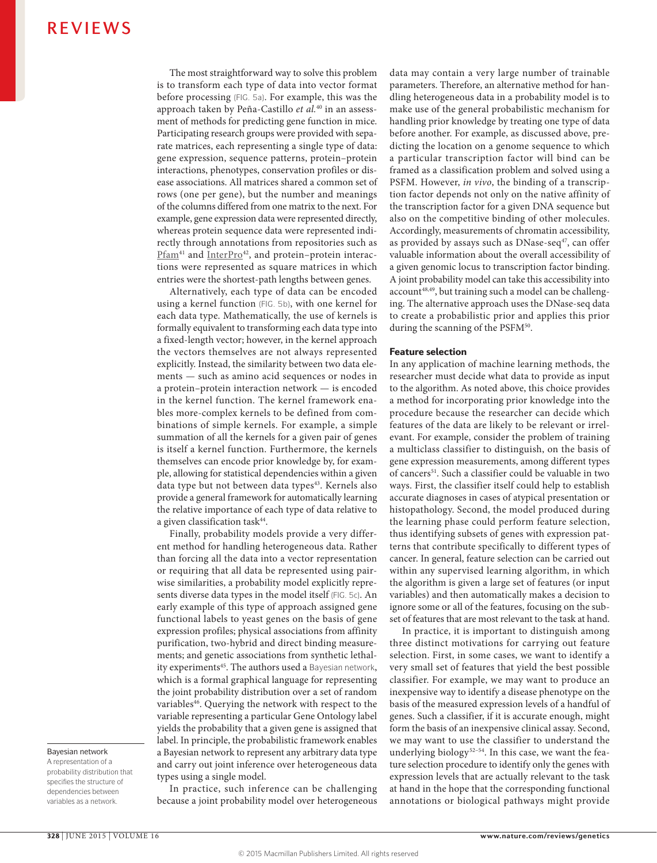The most straightforward way to solve this problem is to transform each type of data into vector format before processing (FIG. 5a). For example, this was the approach taken by Peña-Castillo *et al.*40 in an assessment of methods for predicting gene function in mice. Participating research groups were provided with separate matrices, each representing a single type of data: gene expression, sequence patterns, protein–protein interactions, phenotypes, conservation profiles or disease associations. All matrices shared a common set of rows (one per gene), but the number and meanings of the columns differed from one matrix to the next. For example, gene expression data were represented directly, whereas protein sequence data were represented indirectly through annotations from repositories such as [Pfam](http://pfam.xfam.org/)<sup>41</sup> and [InterPro](http://www.ebi.ac.uk/interpro/)<sup>42</sup>, and protein–protein interactions were represented as square matrices in which entries were the shortest-path lengths between genes.

Alternatively, each type of data can be encoded using a kernel function (FIG. 5b), with one kernel for each data type. Mathematically, the use of kernels is formally equivalent to transforming each data type into a fixed-length vector; however, in the kernel approach the vectors themselves are not always represented explicitly. Instead, the similarity between two data elements — such as amino acid sequences or nodes in a protein–protein interaction network — is encoded in the kernel function. The kernel framework enables more-complex kernels to be defined from combinations of simple kernels. For example, a simple summation of all the kernels for a given pair of genes is itself a kernel function. Furthermore, the kernels themselves can encode prior knowledge by, for example, allowing for statistical dependencies within a given data type but not between data types<sup>43</sup>. Kernels also provide a general framework for automatically learning the relative importance of each type of data relative to a given classification task<sup>44</sup>.

Finally, probability models provide a very different method for handling heterogeneous data. Rather than forcing all the data into a vector representation or requiring that all data be represented using pairwise similarities, a probability model explicitly represents diverse data types in the model itself (FIG. 5c). An early example of this type of approach assigned gene functional labels to yeast genes on the basis of gene expression profiles; physical associations from affinity purification, two-hybrid and direct binding measurements; and genetic associations from synthetic lethality experiments<sup>45</sup>. The authors used a Bayesian network, which is a formal graphical language for representing the joint probability distribution over a set of random variables<sup>46</sup>. Querying the network with respect to the variable representing a particular Gene Ontology label yields the probability that a given gene is assigned that label. In principle, the probabilistic framework enables a Bayesian network to represent any arbitrary data type and carry out joint inference over heterogeneous data types using a single model.

In practice, such inference can be challenging because a joint probability model over heterogeneous data may contain a very large number of trainable parameters. Therefore, an alternative method for handling heterogeneous data in a probability model is to make use of the general probabilistic mechanism for handling prior knowledge by treating one type of data before another. For example, as discussed above, predicting the location on a genome sequence to which a particular transcription factor will bind can be framed as a classification problem and solved using a PSFM. However, *in vivo*, the binding of a transcription factor depends not only on the native affinity of the transcription factor for a given DNA sequence but also on the competitive binding of other molecules. Accordingly, measurements of chromatin accessibility, as provided by assays such as DNase-seq<sup>47</sup>, can offer valuable information about the overall accessibility of a given genomic locus to transcription factor binding. A joint probability model can take this accessibility into account<sup>48,49</sup>, but training such a model can be challenging. The alternative approach uses the DNase-seq data to create a probabilistic prior and applies this prior during the scanning of the PSFM<sup>50</sup>.

#### Feature selection

In any application of machine learning methods, the researcher must decide what data to provide as input to the algorithm. As noted above, this choice provides a method for incorporating prior knowledge into the procedure because the researcher can decide which features of the data are likely to be relevant or irrelevant. For example, consider the problem of training a multiclass classifier to distinguish, on the basis of gene expression measurements, among different types of cancers<sup>51</sup>. Such a classifier could be valuable in two ways. First, the classifier itself could help to establish accurate diagnoses in cases of atypical presentation or histopathology. Second, the model produced during the learning phase could perform feature selection, thus identifying subsets of genes with expression patterns that contribute specifically to different types of cancer. In general, feature selection can be carried out within any supervised learning algorithm, in which the algorithm is given a large set of features (or input variables) and then automatically makes a decision to ignore some or all of the features, focusing on the subset of features that are most relevant to the task at hand.

In practice, it is important to distinguish among three distinct motivations for carrying out feature selection. First, in some cases, we want to identify a very small set of features that yield the best possible classifier. For example, we may want to produce an inexpensive way to identify a disease phenotype on the basis of the measured expression levels of a handful of genes. Such a classifier, if it is accurate enough, might form the basis of an inexpensive clinical assay. Second, we may want to use the classifier to understand the underlying biology<sup>52-54</sup>. In this case, we want the feature selection procedure to identify only the genes with expression levels that are actually relevant to the task at hand in the hope that the corresponding functional annotations or biological pathways might provide

## variables as a network.

Bayesian network A representation of a probability distribution that specifies the structure of dependencies between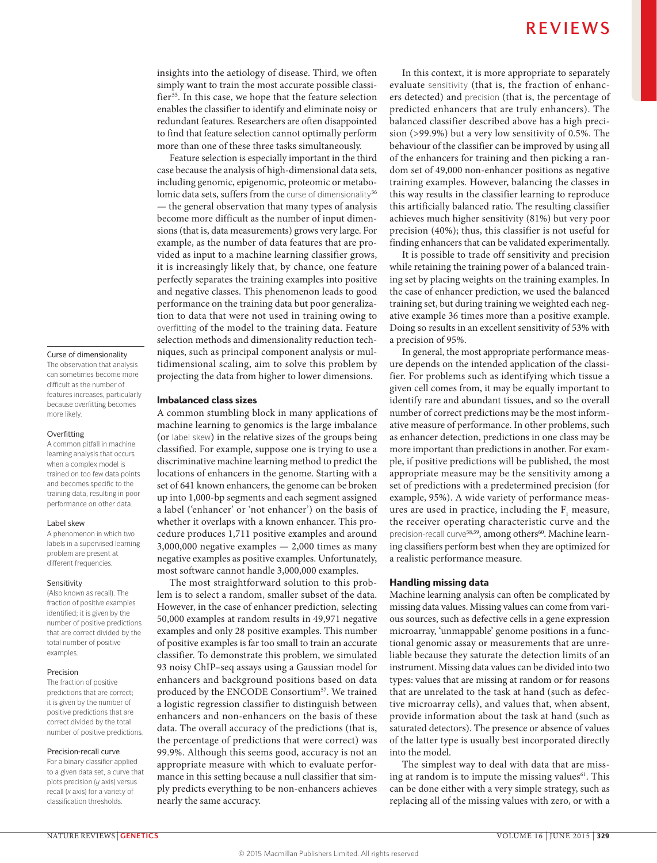insights into the aetiology of disease. Third, we often simply want to train the most accurate possible classifier<sup>55</sup>. In this case, we hope that the feature selection enables the classifier to identify and eliminate noisy or redundant features. Researchers are often disappointed to find that feature selection cannot optimally perform more than one of these three tasks simultaneously.

Feature selection is especially important in the third case because the analysis of high-dimensional data sets, including genomic, epigenomic, proteomic or metabolomic data sets, suffers from the curse of dimensionality<sup>56</sup> — the general observation that many types of analysis become more difficult as the number of input dimensions (that is, data measurements) grows very large. For example, as the number of data features that are provided as input to a machine learning classifier grows, it is increasingly likely that, by chance, one feature perfectly separates the training examples into positive and negative classes. This phenomenon leads to good performance on the training data but poor generalization to data that were not used in training owing to overfitting of the model to the training data. Feature selection methods and dimensionality reduction techniques, such as principal component analysis or multidimensional scaling, aim to solve this problem by projecting the data from higher to lower dimensions.

#### Curse of dimensionality

The observation that analysis can sometimes become more difficult as the number of features increases, particularly because overfitting becomes more likely.

#### Overfitting

A common pitfall in machine learning analysis that occurs when a complex model is trained on too few data points and becomes specific to the training data, resulting in poor performance on other data.

#### Label skew

A phenomenon in which two labels in a supervised learning problem are present at different frequencies.

#### Sensitivity

(Also known as recall). The fraction of positive examples identified; it is given by the number of positive predictions that are correct divided by the total number of positive examples.

#### Precision

The fraction of positive predictions that are correct; it is given by the number of positive predictions that are correct divided by the total number of positive predictions.

#### Precision-recall curve

For a binary classifier applied to a given data set, a curve that plots precision (*y* axis) versus recall (*x* axis) for a variety of classification thresholds.

Imbalanced class sizes

A common stumbling block in many applications of machine learning to genomics is the large imbalance (or label skew) in the relative sizes of the groups being classified. For example, suppose one is trying to use a discriminative machine learning method to predict the locations of enhancers in the genome. Starting with a set of 641 known enhancers, the genome can be broken up into 1,000-bp segments and each segment assigned a label ('enhancer' or 'not enhancer') on the basis of whether it overlaps with a known enhancer. This procedure produces 1,711 positive examples and around 3,000,000 negative examples — 2,000 times as many negative examples as positive examples. Unfortunately, most software cannot handle 3,000,000 examples.

The most straightforward solution to this problem is to select a random, smaller subset of the data. However, in the case of enhancer prediction, selecting 50,000 examples at random results in 49,971 negative examples and only 28 positive examples. This number of positive examples is far too small to train an accurate classifier. To demonstrate this problem, we simulated 93 noisy ChIP–seq assays using a Gaussian model for enhancers and background positions based on data produced by the ENCODE Consortium<sup>57</sup>. We trained a logistic regression classifier to distinguish between enhancers and non-enhancers on the basis of these data. The overall accuracy of the predictions (that is, the percentage of predictions that were correct) was 99.9%. Although this seems good, accuracy is not an appropriate measure with which to evaluate performance in this setting because a null classifier that simply predicts everything to be non-enhancers achieves nearly the same accuracy.

In this context, it is more appropriate to separately evaluate sensitivity (that is, the fraction of enhancers detected) and precision (that is, the percentage of predicted enhancers that are truly enhancers). The balanced classifier described above has a high precision (>99.9%) but a very low sensitivity of 0.5%. The behaviour of the classifier can be improved by using all of the enhancers for training and then picking a random set of 49,000 non-enhancer positions as negative training examples. However, balancing the classes in this way results in the classifier learning to reproduce this artificially balanced ratio. The resulting classifier achieves much higher sensitivity (81%) but very poor precision (40%); thus, this classifier is not useful for finding enhancers that can be validated experimentally.

It is possible to trade off sensitivity and precision while retaining the training power of a balanced training set by placing weights on the training examples. In the case of enhancer prediction, we used the balanced training set, but during training we weighted each negative example 36 times more than a positive example. Doing so results in an excellent sensitivity of 53% with a precision of 95%.

In general, the most appropriate performance measure depends on the intended application of the classifier. For problems such as identifying which tissue a given cell comes from, it may be equally important to identify rare and abundant tissues, and so the overall number of correct predictions may be the most informative measure of performance. In other problems, such as enhancer detection, predictions in one class may be more important than predictions in another. For example, if positive predictions will be published, the most appropriate measure may be the sensitivity among a set of predictions with a predetermined precision (for example, 95%). A wide variety of performance measures are used in practice, including the  $F_1$  measure, the receiver operating characteristic curve and the precision-recall curve<sup>58,59</sup>, among others<sup>60</sup>. Machine learning classifiers perform best when they are optimized for a realistic performance measure.

#### Handling missing data

Machine learning analysis can often be complicated by missing data values. Missing values can come from various sources, such as defective cells in a gene expression microarray, 'unmappable' genome positions in a functional genomic assay or measurements that are unreliable because they saturate the detection limits of an instrument. Missing data values can be divided into two types: values that are missing at random or for reasons that are unrelated to the task at hand (such as defective microarray cells), and values that, when absent, provide information about the task at hand (such as saturated detectors). The presence or absence of values of the latter type is usually best incorporated directly into the model.

The simplest way to deal with data that are missing at random is to impute the missing values<sup>61</sup>. This can be done either with a very simple strategy, such as replacing all of the missing values with zero, or with a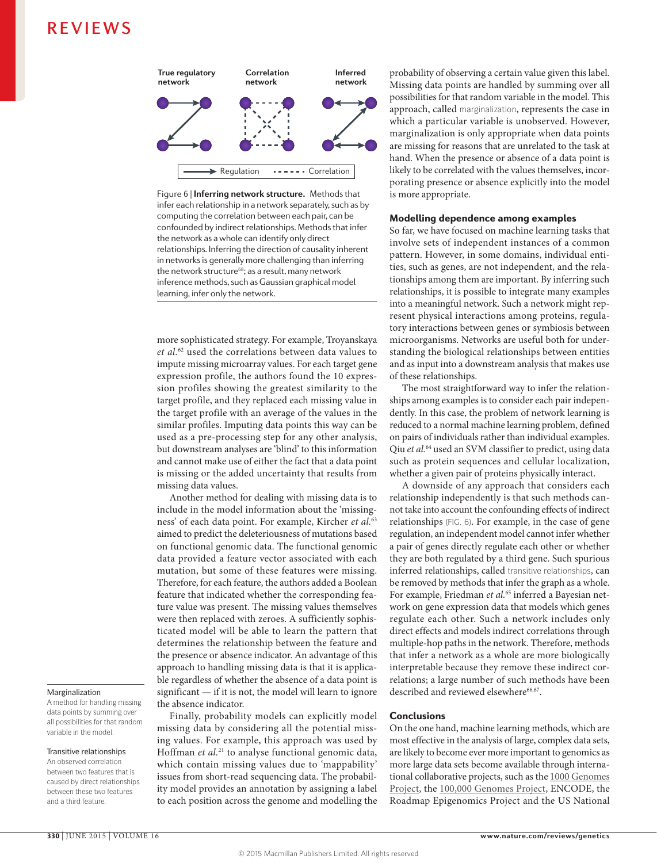

**Nature Reviews** | **Genetics** infer each relationship in a network separately, such as by Figure 6 | **Inferring network structure.** Methods that computing the correlation between each pair, can be confounded by indirect relationships. Methods that infer the network as a whole can identify only direct relationships. Inferring the direction of causality inherent in networks is generally more challenging than inferring the network structure<sup>68</sup>; as a result, many network inference methods, such as Gaussian graphical model learning, infer only the network.

more sophisticated strategy. For example, Troyanskaya *et al.*62 used the correlations between data values to impute missing microarray values. For each target gene expression profile, the authors found the 10 expression profiles showing the greatest similarity to the target profile, and they replaced each missing value in the target profile with an average of the values in the similar profiles. Imputing data points this way can be used as a pre-processing step for any other analysis, but downstream analyses are 'blind' to this information and cannot make use of either the fact that a data point is missing or the added uncertainty that results from missing data values.

Another method for dealing with missing data is to include in the model information about the 'missingness' of each data point. For example, Kircher *et al.*<sup>63</sup> aimed to predict the deleteriousness of mutations based on functional genomic data. The functional genomic data provided a feature vector associated with each mutation, but some of these features were missing. Therefore, for each feature, the authors added a Boolean feature that indicated whether the corresponding feature value was present. The missing values themselves were then replaced with zeroes. A sufficiently sophisticated model will be able to learn the pattern that determines the relationship between the feature and the presence or absence indicator. An advantage of this approach to handling missing data is that it is applicable regardless of whether the absence of a data point is significant — if it is not, the model will learn to ignore the absence indicator.

Finally, probability models can explicitly model missing data by considering all the potential missing values. For example, this approach was used by Hoffman *et al.*<sup>21</sup> to analyse functional genomic data, which contain missing values due to 'mappability' issues from short-read sequencing data. The probability model provides an annotation by assigning a label to each position across the genome and modelling the probability of observing a certain value given this label. Missing data points are handled by summing over all possibilities for that random variable in the model. This approach, called marginalization, represents the case in which a particular variable is unobserved. However, marginalization is only appropriate when data points are missing for reasons that are unrelated to the task at hand. When the presence or absence of a data point is likely to be correlated with the values themselves, incorporating presence or absence explicitly into the model is more appropriate.

#### Modelling dependence among examples

So far, we have focused on machine learning tasks that involve sets of independent instances of a common pattern. However, in some domains, individual entities, such as genes, are not independent, and the relationships among them are important. By inferring such relationships, it is possible to integrate many examples into a meaningful network. Such a network might represent physical interactions among proteins, regulatory interactions between genes or symbiosis between microorganisms. Networks are useful both for understanding the biological relationships between entities and as input into a downstream analysis that makes use of these relationships.

The most straightforward way to infer the relationships among examples is to consider each pair independently. In this case, the problem of network learning is reduced to a normal machine learning problem, defined on pairs of individuals rather than individual examples. Qiu *et al.*64 used an SVM classifier to predict, using data such as protein sequences and cellular localization, whether a given pair of proteins physically interact.

A downside of any approach that considers each relationship independently is that such methods cannot take into account the confounding effects of indirect relationships (FIG. 6). For example, in the case of gene regulation, an independent model cannot infer whether a pair of genes directly regulate each other or whether they are both regulated by a third gene. Such spurious inferred relationships, called transitive relationships, can be removed by methods that infer the graph as a whole. For example, Friedman et al.<sup>65</sup> inferred a Bayesian network on gene expression data that models which genes regulate each other. Such a network includes only direct effects and models indirect correlations through multiple-hop paths in the network. Therefore, methods that infer a network as a whole are more biologically interpretable because they remove these indirect correlations; a large number of such methods have been described and reviewed elsewhere<sup>66,67</sup>.

#### **Conclusions**

On the one hand, machine learning methods, which are most effective in the analysis of large, complex data sets, are likely to become ever more important to genomics as more large data sets become available through international collaborative projects, such as the [1000 Genomes](http://www.1000genomes.org)  [Project,](http://www.1000genomes.org) the [100,000 Genomes Project,](http://www.genomicsengland.co.uk) ENCODE, the Roadmap Epigenomics Project and the US National

#### Marginalization

A method for handling missing data points by summing over all possibilities for that random variable in the model.

#### Transitive relationships

An observed correlation between two features that is caused by direct relationships between these two features and a third feature.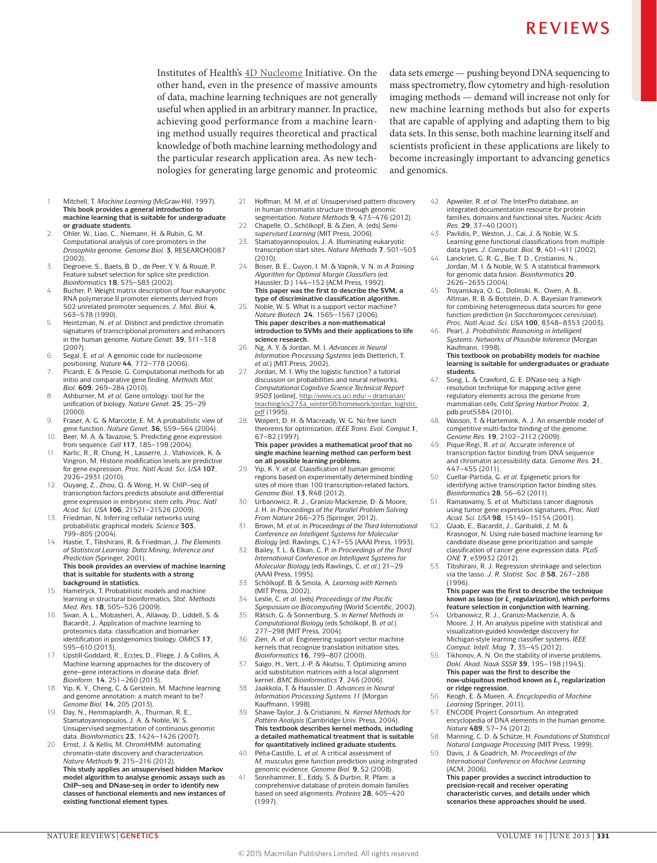Institutes of Health's [4D Nucleome](https://commonfund.nih.gov/4Dnucleome/index) Initiative. On the other hand, even in the presence of massive amounts of data, machine learning techniques are not generally useful when applied in an arbitrary manner. In practice, achieving good performance from a machine learning method usually requires theoretical and practical knowledge of both machine learning methodology and the particular research application area. As new technologies for generating large genomic and proteomic data sets emerge — pushing beyond DNA sequencing to mass spectrometry, flow cytometry and high-resolution imaging methods — demand will increase not only for new machine learning methods but also for experts that are capable of applying and adapting them to big data sets. In this sense, both machine learning itself and scientists proficient in these applications are likely to become increasingly important to advancing genetics and genomics.

- 1. Mitchell, T. *Machine Learning* (McGraw-Hill, 1997). **This book provides a general introduction to machine learning that is suitable for undergraduate or graduate students.**
- 2. Ohler, W., Liao, C., Niemann, H. & Rubin, G. M. Computational analysis of core promoters in the *Drosophila* genome. *Genome Biol.* **3**, RESEARCH0087 (2002).
- 3. Degroeve, S., Baets, B. D., de Peer, Y. V. & Rouzé, P. Feature subset selection for splice site prediction. *Bioinformatics* **18**, S75–S83 (2002).
- 4. Bucher, P. Weight matrix description of four eukaryotic RNA polymerase II promoter elements derived from 502 unrelated promoter sequences. *J. Mol. Biol.* **4**, 563–578 (1990).
- 5. Heintzman, N. *et al.* Distinct and predictive chromatin signatures of transcriptional promoters and enhancers in the human genome. *Nature Genet.* **39**, 311–318 (2007).
- 6. Segal, E. *et al.* A genomic code for nucleosome
- positioning. *Nature* **44**, 772–778 (2006). 7. Picardi, E. & Pesole, G. Computational methods for ab initio and comparative gene finding. *Methods Mol. Biol.* **609**, 269–284 (2010).
- 8. Ashburner, M. *et al.* Gene ontology: tool for the unification of biology. *Nature Genet.* **25**, 25–29 (2000).
- 9. Fraser, A. G. & Marcotte, E. M. A probabilistic view of gene function. *Nature Genet.* **36**, 559–564 (2004).
- 10. Beer, M. A. & Tavazoie, S. Predicting gene expression from sequence. *Cell* **117**, 185–198 (2004).
- 11. Karlic, R., R. Chung, H., Lasserre, J., Vlahovicek, K. & Vingron, M. Histone modification levels are predictive for gene expression. *Proc. Natl Acad. Sci. USA* **107**, 2926–2931 (2010).
- 12. Ouyang, Z., Zhou, Q. & Wong, H. W. ChIP–seq of transcription factors predicts absolute and differential gene expression in embryonic stem cells. *Proc. Natl Acad. Sci. USA* **106**, 21521–21526 (2009).
- 13. Friedman, N. Inferring cellular networks using probabilistic graphical models. *Science* **303**, 799–805 (2004).
- 14. Hastie, T., Tibshirani, R. & Friedman, J. *The Elements of Statistical Learning: Data Mining, Inference and Prediction* (Springer, 2001). **This book provides an overview of machine learning that is suitable for students with a strong background in statistics.**
- 15. Hamelryck, T. Probabilistic models and machine learning in structural bioinformatics. *Stat. Methods Med. Res.* **18**, 505–526 (2009).
- 16. Swan, A. L., Mobasheri, A., Allaway, D., Liddell, S. & Bacardit, J. Application of machine learning to proteomics data: classification and biomarker identification in postgenomics biology. *OMICS* **17**, 595–610 (2013).
- 17. Upstill-Goddard, R., Eccles, D., Fliege, J. & Collins, A. Machine learning approaches for the discovery of gene–gene interactions in disease data. *Brief.*
- *Bioinform.* **14**, 251–260 (2013). 18. Yip, K. Y., Cheng, C. & Gerstein, M. Machine learning and genome annotation: a match meant to be? *Genome Biol.* **14**, 205 (2013).
- 19. Day, N., Hemmaplardh, A., Thurman, R. E., Stamatoyannopoulos, J. A. & Noble, W. S. Unsupervised segmentation of continuous genomic data. *Bioinformatics* **23**, 1424–1426 (2007).
- 20. Ernst, J. & Kellis, M. ChromHMM: automating chromatin-state discovery and characterization. *Nature Methods* **9**, 215–216 (2012). **This study applies an unsupervised hidden Markov model algorithm to analyse genomic assays such as ChIP–seq and DNase-seq in order to identify new classes of functional elements and new instances of existing functional element types.**
- 21. Hoffman, M. M. *et al.* Unsupervised pattern discovery in human chromatin structure through genomic segmentation. *Nature Methods* **9**, 473–476 (2012).
- 22. Chapelle, O., Schölkopf, B. & Zien, A. (eds) *Semisupervised Learning* (MIT Press, 2006).
- 23. Stamatoyannopoulos, J. A. Illuminating eukaryotic transcription start sites. *Nature Methods* **7**, 501–503  $(2010)$
- 24. Boser, B. E., Guyon, I. M. & Vapnik, V. N. in *A Training Algorithm for Optimal Margin Classifiers* (ed. Haussler, D.) 144–152 (ACM Press, 1992). **This paper was the first to describe the SVM, a type of discriminative classification algorithm.**
- 25. Noble, W. S. What is a support vector machine? *Nature Biotech.* **24**, 1565–1567 (2006). **This paper describes a non-mathematical introduction to SVMs and their applications to life science research.**
- 26. Ng, A. Y. & Jordan, M. I. *Advances in Neural Information Processing Systems* (eds Dietterich, T. *et al.*) (MIT Press, 2002).
- 27. Jordan, M. I. Why the logistic function? a tutorial discussion on probabilities and neural networks. *Computational Cognitive Science Technical Report*  9503 [online], http://www.ics.uci.edu/ ~ dramanan/ [teaching/ics273a\\_winter08/homework/jordan\\_logistic.](http://www.ics.uci.edu/~dramanan/teaching/ics273a_winter08/homework/jordan_logistic.pdf) [pdf](http://www.ics.uci.edu/~dramanan/teaching/ics273a_winter08/homework/jordan_logistic.pdf) (1995).
- 28. Wolpert, D. H. & Macready, W. G. No free lunch theorems for optimization. *IEEE Trans. Evol. Comput.***1**, 67–82 (1997).
- **This paper provides a mathematical proof that no single machine learning method can perform best on all possible learning problems.** 29. Yip, K. Y. *et al.* Classification of human genomic
- regions based on experimentally determined binding sites of more than 100 transcription-related factors. *Genome Biol.* **13**, R48 (2012).
- 30. Urbanowicz, R. J., Granizo-Mackenzie, D. & Moore, J. H. in *Proceedings of the Parallel Problem Solving From Nature* 266–275 (Springer, 2012).
- 31. Brown, M. *et al.* in *Proceedings of the Third International Conference on Intelligent Systems for Molecular Biology* (ed. Rawlings, C.) 47–55 (AAAI Press, 1993).
- 32. Bailey, T. L. & Elkan, C. P. in *Proceedings of the Third International Conference on Intelligent Systems for Molecular Biology* (eds Rawlings, C. *et al.*) 21–29 (AAAI Press, 1995).
- 33. Schölkopf, B. & Smola, A. *Learning with Kernels* (MIT Press, 2002).
- 34. Leslie, C. *et al.* (eds) *Proceedings of the Pacific Symposium on Biocomputing* (World Scientific, 2002).
- 35. Rätsch, G. & Sonnenburg, S. in *Kernel Methods in Computational Biology* (eds Schölkopf, B. *et al.*) 277–298 (MIT Press, 2004).
- 36. Zien, A. *et al.* Engineering support vector machine kernels that recognize translation initiation sites. *Bioinformatics* **16**, 799–807 (2000).
- 37. Saigo, H., Vert, J.-P. & Akutsu, T. Optimizing amino acid substitution matrices with a local alignment kernel. *BMC Bioinformatics* **7**, 246 (2006). 38. Jaakkola, T. & Haussler, D. *Advances in Neural*
- *Information Processing Systems 11* (Morgan Kauffmann, 1998).
- 39. Shawe-Taylor, J. & Cristianini, N. *Kernel Methods for Pattern Analysis* (Cambridge Univ. Press, 2004). **This textbook describes kernel methods, including a detailed mathematical treatment that is suitable for quantitatively inclined graduate students.**
- 40. Peña-Castillo, L. *et al.* A critical assessment of *M. musculus* gene function prediction using integrated genomic evidence. *Genome Biol.* **9**, S2 (2008). 41. Sonnhammer, E., Eddy, S. & Durbin, R. Pfam: a
- comprehensive database of protein domain families based on seed alignments. *Proteins* **28**, 405–420 (1997).
- 42. Apweiler, R. *et al.* The InterPro database, an integrated documentation resource for protein families, domains and functional sites. *Nucleic Acids Res.* **29**, 37–40 (2001).
- 43. Pavlidis, P., Weston, J., Cai, J. & Noble, W. S. Learning gene functional classifications from multiple data types. *J. Computat. Biol.* **9**, 401–411 (2002).
- 44. Lanckriet, G. R. G., Bie, T. D., Cristianini, N., Jordan, M. I. & Noble, W. S. A statistical framework for genomic data fusion. *Bioinformatics* **20**, 2626–2635 (2004).
- 45. Troyanskaya, O. G., Dolinski, K., Owen, A. B., Altman, R. B. & Botstein, D. A. Bayesian framework for combining heterogeneous data sources for gene function prediction (in *Saccharomyces cerevisiae*). *Proc. Natl Acad. Sci. USA* **100**, 8348–8353 (2003).
- 46. Pearl, J. *Probabilistic Reasoning in Intelligent Systems: Networks of Plausible Inference* (Morgan Kaufmann, 1998).

#### **This textbook on probability models for machine learning is suitable for undergraduates or graduate students.**

- 47. Song, L. & Crawford, G. E. DNase-seq: a highresolution technique for mapping active gene regulatory elements across the genome from mammalian cells. *Cold Spring Harbor Protoc.* **2**, pdb.prot5384 (2010).
- 48. Wasson, T. & Hartemink, A. J. An ensemble model of competitive multi-factor binding of the genome. *Genome Res.* **19**, 2102–2112 (2009).
- 49. Pique-Regi, R. *et al.* Accurate inference of transcription factor binding from DNA sequence and chromatin accessibility data. *Genome Res.* **21**, 447–455 (2011).
- 50. Cuellar-Partida, G. *et al.* Epigenetic priors for identifying active transcription factor binding sites. *Bioinformatics* **28**, 56–62 (2011).
- 51. Ramaswamy, S. *et al.* Multiclass cancer diagnosis using tumor gene expression signatures. *Proc. Natl Acad. Sci. USA* **98**, 15149–15154 (2001).
- 52. Glaab, E., Bacardit, J., Garibaldi, J. M. & Krasnogor, N. Using rule-based machine learning for candidate disease gene prioritization and sample classification of cancer gene expression data. *PLoS ONE* **7**, e39932 (2012).
- 53. Tibshirani, R. J. Regression shrinkage and selection via the lasso. *J. R. Statist. Soc. B* **58**, 267–288 (1996). **This paper was the first to describe the technique**

#### **known as lasso (or** *L***1 regularization), which performs feature selection in conjunction with learning.**

- Urbanowicz, R. J., Granizo-Mackenzie, A. & Moore, J. H. An analysis pipeline with statistical and visualization-guided knowledge discovery for Michigan-style learning classifier systems. *IEEE Comput. Intell. Mag.* **7**, 35–45 (2012).
- 55. Tikhonov, A. N. On the stability of inverse problems. *Dokl. Akad. Nauk SSSR* **39**, 195–198 (1943). **This paper was the first to describe the now-ubiquitous method known as** *L***2 regularization or ridge regression.**
- 56. Keogh, E. & Mueen, A. *Encyclopedia of Machine Learning* (Springer, 2011).
- 57. ENCODE Project Consortium. An integrated encyclopedia of DNA elements in the human genome. *Nature* **489**, 57–74 (2012).
- 58. Manning, C. D. & Schütze, H. *Foundations of Statistical Natural Language Processing* (MIT Press, 1999).
- 59. Davis, J. & Goadrich, M. *Proceedings of the International Conference on Machine Learning* (ACM, 2006). **This paper provides a succinct introduction to**

**precision-recall and receiver operating characteristic curves, and details under which scenarios these approaches should be used.**